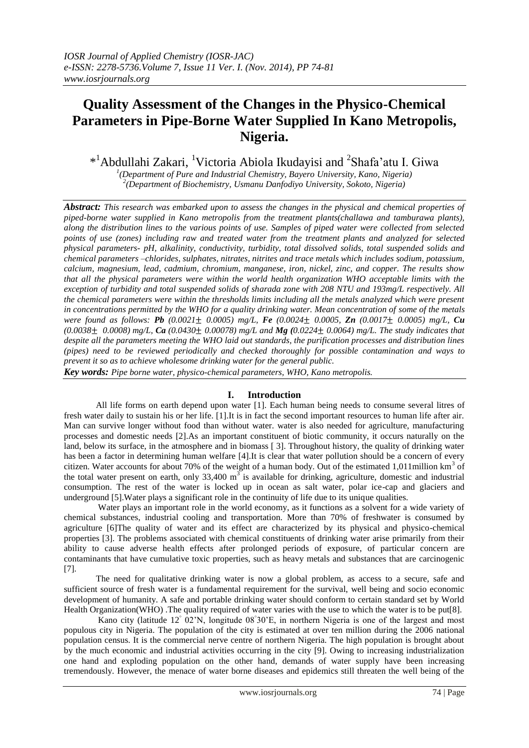# **Quality Assessment of the Changes in the Physico-Chemical Parameters in Pipe-Borne Water Supplied In Kano Metropolis, Nigeria.**

\*<sup>1</sup>Abdullahi Zakari, <sup>1</sup>Victoria Abiola Ikudayisi and <sup>2</sup>Shafa'atu I. Giwa

*1 (Department of Pure and Industrial Chemistry, Bayero University, Kano, Nigeria) 2 (Department of Biochemistry, Usmanu Danfodiyo University, Sokoto, Nigeria)*

*Abstract: This research was embarked upon to assess the changes in the physical and chemical properties of piped-borne water supplied in Kano metropolis from the treatment plants(challawa and tamburawa plants), along the distribution lines to the various points of use. Samples of piped water were collected from selected points of use (zones) including raw and treated water from the treatment plants and analyzed for selected physical parameters- pH, alkalinity, conductivity, turbidity, total dissolved solids, total suspended solids and chemical parameters –chlorides, sulphates, nitrates, nitrites and trace metals which includes sodium, potassium, calcium, magnesium, lead, cadmium, chromium, manganese, iron, nickel, zinc, and copper. The results show that all the physical parameters were within the world health organization WHO acceptable limits with the exception of turbidity and total suspended solids of sharada zone with 208 NTU and 193mg/L respectively. All the chemical parameters were within the thresholds limits including all the metals analyzed which were present in concentrations permitted by the WHO for a quality drinking water. Mean concentration of some of the metals were found as follows: Pb (0.0021*± *0.0005) mg/L, Fe (0.0024*± *0.0005, Zn (0.0017*± *0.0005) mg/L, Cu (0.0038*± *0.0008) mg/L, Ca (0.0430*± *0.00078) mg/L and Mg (0.0224*± *0.0064) mg/L. The study indicates that despite all the parameters meeting the WHO laid out standards, the purification processes and distribution lines (pipes) need to be reviewed periodically and checked thoroughly for possible contamination and ways to prevent it so as to achieve wholesome drinking water for the general public.*

*Key words: Pipe borne water, physico-chemical parameters, WHO, Kano metropolis.*

# **I. Introduction**

All life forms on earth depend upon water [1]. Each human being needs to consume several litres of fresh water daily to sustain his or her life. [1].It is in fact the second important resources to human life after air. Man can survive longer without food than without water. water is also needed for agriculture, manufacturing processes and domestic needs [2].As an important constituent of biotic community, it occurs naturally on the land, below its surface, in the atmosphere and in biomass [ 3]. Throughout history, the quality of drinking water has been a factor in determining human welfare [4].It is clear that water pollution should be a concern of every citizen. Water accounts for about 70% of the weight of a human body. Out of the estimated 1,011million  $km<sup>3</sup>$  of the total water present on earth, only  $33,400 \text{ m}^3$  is available for drinking, agriculture, domestic and industrial consumption. The rest of the water is locked up in ocean as salt water, polar ice-cap and glaciers and underground [5].Water plays a significant role in the continuity of life due to its unique qualities.

Water plays an important role in the world economy, as it functions as a solvent for a wide variety of chemical substances, industrial cooling and transportation. More than 70% of freshwater is consumed by agriculture [6]The quality of water and its effect are characterized by its physical and physico-chemical properties [3]. The problems associated with chemical constituents of drinking water arise primarily from their ability to cause adverse health effects after prolonged periods of exposure, of particular concern are contaminants that have cumulative toxic properties, such as heavy metals and substances that are carcinogenic [7].

The need for qualitative drinking water is now a global problem, as access to a secure, safe and sufficient source of fresh water is a fundamental requirement for the survival, well being and socio economic development of humanity. A safe and portable drinking water should conform to certain standard set by World Health Organization(WHO) .The quality required of water varies with the use to which the water is to be put[8].

Kano city (latitude 12<sup>°</sup> 02'N, longitude 08<sup>°</sup>30'E, in northern Nigeria is one of the largest and most populous city in Nigeria. The population of the city is estimated at over ten million during the 2006 national population census. It is the commercial nerve centre of northern Nigeria. The high population is brought about by the much economic and industrial activities occurring in the city [9]. Owing to increasing industrialization one hand and exploding population on the other hand, demands of water supply have been increasing tremendously. However, the menace of water borne diseases and epidemics still threaten the well being of the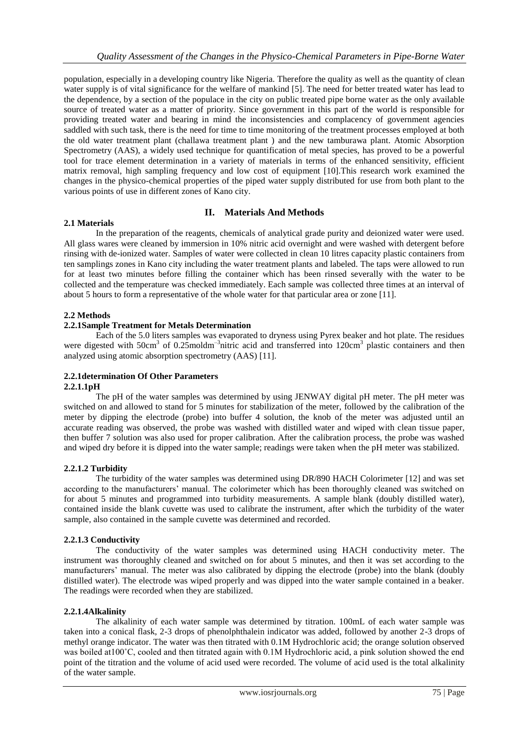population, especially in a developing country like Nigeria. Therefore the quality as well as the quantity of clean water supply is of vital significance for the welfare of mankind [5]. The need for better treated water has lead to the dependence, by a section of the populace in the city on public treated pipe borne water as the only available source of treated water as a matter of priority. Since government in this part of the world is responsible for providing treated water and bearing in mind the inconsistencies and complacency of government agencies saddled with such task, there is the need for time to time monitoring of the treatment processes employed at both the old water treatment plant (challawa treatment plant ) and the new tamburawa plant. Atomic Absorption Spectrometry (AAS), a widely used technique for quantification of metal species, has proved to be a powerful tool for trace element determination in a variety of materials in terms of the enhanced sensitivity, efficient matrix removal, high sampling frequency and low cost of equipment [10].This research work examined the changes in the physico-chemical properties of the piped water supply distributed for use from both plant to the various points of use in different zones of Kano city.

# **II. Materials And Methods**

In the preparation of the reagents, chemicals of analytical grade purity and deionized water were used. All glass wares were cleaned by immersion in 10% nitric acid overnight and were washed with detergent before rinsing with de-ionized water. Samples of water were collected in clean 10 litres capacity plastic containers from ten samplings zones in Kano city including the water treatment plants and labeled. The taps were allowed to run for at least two minutes before filling the container which has been rinsed severally with the water to be collected and the temperature was checked immediately. Each sample was collected three times at an interval of about 5 hours to form a representative of the whole water for that particular area or zone [11].

# **2.2 Methods**

**2.1 Materials**

#### **2.2.1Sample Treatment for Metals Determination**

Each of the 5.0 liters samples was evaporated to dryness using Pyrex beaker and hot plate. The residues were digested with 50cm<sup>3</sup> of 0.25moldm<sup>-3</sup>nitric acid and transferred into 120cm<sup>3</sup> plastic containers and then analyzed using atomic absorption spectrometry (AAS) [11].

## **2.2.1determination Of Other Parameters**

#### **2.2.1.1pH**

The pH of the water samples was determined by using JENWAY digital pH meter. The pH meter was switched on and allowed to stand for 5 minutes for stabilization of the meter, followed by the calibration of the meter by dipping the electrode (probe) into buffer 4 solution, the knob of the meter was adjusted until an accurate reading was observed, the probe was washed with distilled water and wiped with clean tissue paper, then buffer 7 solution was also used for proper calibration. After the calibration process, the probe was washed and wiped dry before it is dipped into the water sample; readings were taken when the pH meter was stabilized.

#### **2.2.1.2 Turbidity**

The turbidity of the water samples was determined using DR/890 HACH Colorimeter [12] and was set according to the manufacturers' manual. The colorimeter which has been thoroughly cleaned was switched on for about 5 minutes and programmed into turbidity measurements. A sample blank (doubly distilled water), contained inside the blank cuvette was used to calibrate the instrument, after which the turbidity of the water sample, also contained in the sample cuvette was determined and recorded.

#### **2.2.1.3 Conductivity**

The conductivity of the water samples was determined using HACH conductivity meter. The instrument was thoroughly cleaned and switched on for about 5 minutes, and then it was set according to the manufacturers' manual. The meter was also calibrated by dipping the electrode (probe) into the blank (doubly distilled water). The electrode was wiped properly and was dipped into the water sample contained in a beaker. The readings were recorded when they are stabilized.

#### **2.2.1.4Alkalinity**

The alkalinity of each water sample was determined by titration. 100mL of each water sample was taken into a conical flask, 2-3 drops of phenolphthalein indicator was added, followed by another 2-3 drops of methyl orange indicator. The water was then titrated with 0.1M Hydrochloric acid; the orange solution observed was boiled at 100°C, cooled and then titrated again with 0.1M Hydrochloric acid, a pink solution showed the end point of the titration and the volume of acid used were recorded. The volume of acid used is the total alkalinity of the water sample.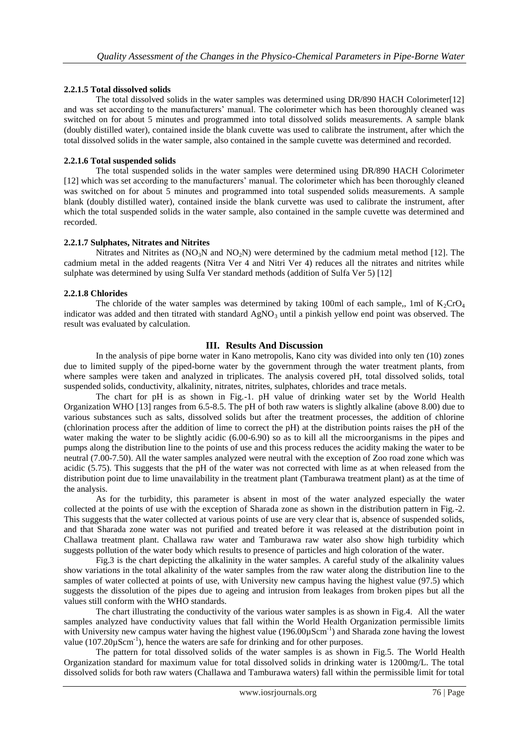## **2.2.1.5 Total dissolved solids**

The total dissolved solids in the water samples was determined using DR/890 HACH Colorimeter[12] and was set according to the manufacturers' manual. The colorimeter which has been thoroughly cleaned was switched on for about 5 minutes and programmed into total dissolved solids measurements. A sample blank (doubly distilled water), contained inside the blank cuvette was used to calibrate the instrument, after which the total dissolved solids in the water sample, also contained in the sample cuvette was determined and recorded.

#### **2.2.1.6 Total suspended solids**

The total suspended solids in the water samples were determined using DR/890 HACH Colorimeter [12] which was set according to the manufacturers' manual. The colorimeter which has been thoroughly cleaned was switched on for about 5 minutes and programmed into total suspended solids measurements. A sample blank (doubly distilled water), contained inside the blank curvette was used to calibrate the instrument, after which the total suspended solids in the water sample, also contained in the sample cuvette was determined and recorded.

#### **2.2.1.7 Sulphates, Nitrates and Nitrites**

Nitrates and Nitrites as  $(NO<sub>3</sub>N$  and  $NO<sub>2</sub>N)$  were determined by the cadmium metal method [12]. The cadmium metal in the added reagents (Nitra Ver 4 and Nitri Ver 4) reduces all the nitrates and nitrites while sulphate was determined by using Sulfa Ver standard methods (addition of Sulfa Ver 5) [12]

#### **2.2.1.8 Chlorides**

The chloride of the water samples was determined by taking 100ml of each sample,, 1ml of  $K_2$ CrO<sub>4</sub> indicator was added and then titrated with standard  $AgNO<sub>3</sub>$  until a pinkish yellow end point was observed. The result was evaluated by calculation.

#### **III. Results And Discussion**

In the analysis of pipe borne water in Kano metropolis, Kano city was divided into only ten (10) zones due to limited supply of the piped-borne water by the government through the water treatment plants, from where samples were taken and analyzed in triplicates. The analysis covered pH, total dissolved solids, total suspended solids, conductivity, alkalinity, nitrates, nitrites, sulphates, chlorides and trace metals.

The chart for pH is as shown in Fig.-1. pH value of drinking water set by the World Health Organization WHO [13] ranges from 6.5-8.5. The pH of both raw waters is slightly alkaline (above 8.00) due to various substances such as salts, dissolved solids but after the treatment processes, the addition of chlorine (chlorination process after the addition of lime to correct the pH) at the distribution points raises the pH of the water making the water to be slightly acidic (6.00-6.90) so as to kill all the microorganisms in the pipes and pumps along the distribution line to the points of use and this process reduces the acidity making the water to be neutral (7.00-7.50). All the water samples analyzed were neutral with the exception of Zoo road zone which was acidic (5.75). This suggests that the pH of the water was not corrected with lime as at when released from the distribution point due to lime unavailability in the treatment plant (Tamburawa treatment plant) as at the time of the analysis.

As for the turbidity, this parameter is absent in most of the water analyzed especially the water collected at the points of use with the exception of Sharada zone as shown in the distribution pattern in Fig.-2. This suggests that the water collected at various points of use are very clear that is, absence of suspended solids, and that Sharada zone water was not purified and treated before it was released at the distribution point in Challawa treatment plant. Challawa raw water and Tamburawa raw water also show high turbidity which suggests pollution of the water body which results to presence of particles and high coloration of the water.

Fig.3 is the chart depicting the alkalinity in the water samples. A careful study of the alkalinity values show variations in the total alkalinity of the water samples from the raw water along the distribution line to the samples of water collected at points of use, with University new campus having the highest value (97.5) which suggests the dissolution of the pipes due to ageing and intrusion from leakages from broken pipes but all the values still conform with the WHO standards.

The chart illustrating the conductivity of the various water samples is as shown in Fig.4. All the water samples analyzed have conductivity values that fall within the World Health Organization permissible limits with University new campus water having the highest value (196.00 $\mu$ Scm<sup>-1</sup>) and Sharada zone having the lowest value (107.20 $\mu$ Scm<sup>-1</sup>), hence the waters are safe for drinking and for other purposes.

The pattern for total dissolved solids of the water samples is as shown in Fig.5. The World Health Organization standard for maximum value for total dissolved solids in drinking water is 1200mg/L. The total dissolved solids for both raw waters (Challawa and Tamburawa waters) fall within the permissible limit for total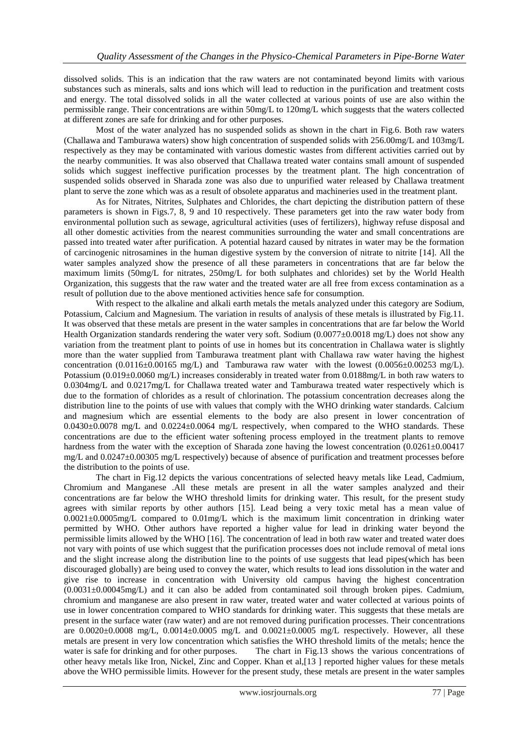dissolved solids. This is an indication that the raw waters are not contaminated beyond limits with various substances such as minerals, salts and ions which will lead to reduction in the purification and treatment costs and energy. The total dissolved solids in all the water collected at various points of use are also within the permissible range. Their concentrations are within 50mg/L to 120mg/L which suggests that the waters collected at different zones are safe for drinking and for other purposes.

Most of the water analyzed has no suspended solids as shown in the chart in Fig.6. Both raw waters (Challawa and Tamburawa waters) show high concentration of suspended solids with 256.00mg/L and 103mg/L respectively as they may be contaminated with various domestic wastes from different activities carried out by the nearby communities. It was also observed that Challawa treated water contains small amount of suspended solids which suggest ineffective purification processes by the treatment plant. The high concentration of suspended solids observed in Sharada zone was also due to unpurified water released by Challawa treatment plant to serve the zone which was as a result of obsolete apparatus and machineries used in the treatment plant.

As for Nitrates, Nitrites, Sulphates and Chlorides, the chart depicting the distribution pattern of these parameters is shown in Figs.7, 8, 9 and 10 respectively. These parameters get into the raw water body from environmental pollution such as sewage, agricultural activities (uses of fertilizers), highway refuse disposal and all other domestic activities from the nearest communities surrounding the water and small concentrations are passed into treated water after purification. A potential hazard caused by nitrates in water may be the formation of carcinogenic nitrosamines in the human digestive system by the conversion of nitrate to nitrite [14]. All the water samples analyzed show the presence of all these parameters in concentrations that are far below the maximum limits (50mg/L for nitrates, 250mg/L for both sulphates and chlorides) set by the World Health Organization, this suggests that the raw water and the treated water are all free from excess contamination as a result of pollution due to the above mentioned activities hence safe for consumption.

With respect to the alkaline and alkali earth metals the metals analyzed under this category are Sodium, Potassium, Calcium and Magnesium. The variation in results of analysis of these metals is illustrated by Fig.11. It was observed that these metals are present in the water samples in concentrations that are far below the World Health Organization standards rendering the water very soft. Sodium (0.0077±0.0018 mg/L) does not show any variation from the treatment plant to points of use in homes but its concentration in Challawa water is slightly more than the water supplied from Tamburawa treatment plant with Challawa raw water having the highest concentration  $(0.0116\pm0.00165 \text{ mg/L})$  and Tamburawa raw water with the lowest  $(0.0056\pm0.00253 \text{ mg/L})$ . Potassium (0.019±0.0060 mg/L) increases considerably in treated water from 0.0188mg/L in both raw waters to 0.0304mg/L and 0.0217mg/L for Challawa treated water and Tamburawa treated water respectively which is due to the formation of chlorides as a result of chlorination. The potassium concentration decreases along the distribution line to the points of use with values that comply with the WHO drinking water standards. Calcium and magnesium which are essential elements to the body are also present in lower concentration of 0.0430±0.0078 mg/L and 0.0224±0.0064 mg/L respectively, when compared to the WHO standards. These concentrations are due to the efficient water softening process employed in the treatment plants to remove hardness from the water with the exception of Sharada zone having the lowest concentration  $(0.0261 \pm 0.00417)$ mg/L and 0.0247±0.00305 mg/L respectively) because of absence of purification and treatment processes before the distribution to the points of use.

The chart in Fig.12 depicts the various concentrations of selected heavy metals like Lead, Cadmium, Chromium and Manganese .All these metals are present in all the water samples analyzed and their concentrations are far below the WHO threshold limits for drinking water. This result, for the present study agrees with similar reports by other authors [15]. Lead being a very toxic metal has a mean value of 0.0021±0.0005mg/L compared to 0.01mg/L which is the maximum limit concentration in drinking water permitted by WHO. Other authors have reported a higher value for lead in drinking water beyond the permissible limits allowed by the WHO [16]. The concentration of lead in both raw water and treated water does not vary with points of use which suggest that the purification processes does not include removal of metal ions and the slight increase along the distribution line to the points of use suggests that lead pipes(which has been discouraged globally) are being used to convey the water, which results to lead ions dissolution in the water and give rise to increase in concentration with University old campus having the highest concentration  $(0.0031\pm0.00045mg/L)$  and it can also be added from contaminated soil through broken pipes. Cadmium, chromium and manganese are also present in raw water, treated water and water collected at various points of use in lower concentration compared to WHO standards for drinking water. This suggests that these metals are present in the surface water (raw water) and are not removed during purification processes. Their concentrations are  $0.0020\pm0.0008$  mg/L,  $0.0014\pm0.0005$  mg/L and  $0.0021\pm0.0005$  mg/L respectively. However, all these metals are present in very low concentration which satisfies the WHO threshold limits of the metals; hence the water is safe for drinking and for other purposes. The chart in Fig.13 shows the various concentrations of other heavy metals like Iron, Nickel, Zinc and Copper. Khan et al,[13 ] reported higher values for these metals above the WHO permissible limits. However for the present study, these metals are present in the water samples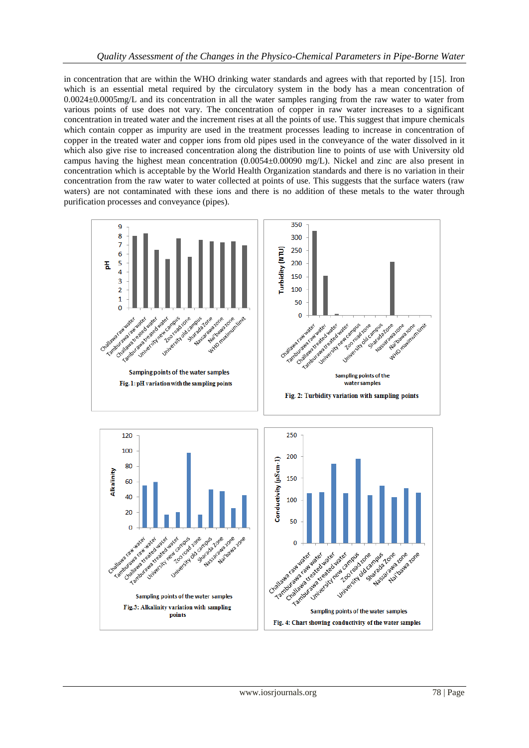in concentration that are within the WHO drinking water standards and agrees with that reported by [15]. Iron which is an essential metal required by the circulatory system in the body has a mean concentration of 0.0024±0.0005mg/L and its concentration in all the water samples ranging from the raw water to water from various points of use does not vary. The concentration of copper in raw water increases to a significant concentration in treated water and the increment rises at all the points of use. This suggest that impure chemicals which contain copper as impurity are used in the treatment processes leading to increase in concentration of copper in the treated water and copper ions from old pipes used in the conveyance of the water dissolved in it which also give rise to increased concentration along the distribution line to points of use with University old campus having the highest mean concentration  $(0.0054\pm0.00090 \text{ mg/L})$ . Nickel and zinc are also present in concentration which is acceptable by the World Health Organization standards and there is no variation in their concentration from the raw water to water collected at points of use. This suggests that the surface waters (raw waters) are not contaminated with these ions and there is no addition of these metals to the water through purification processes and conveyance (pipes).

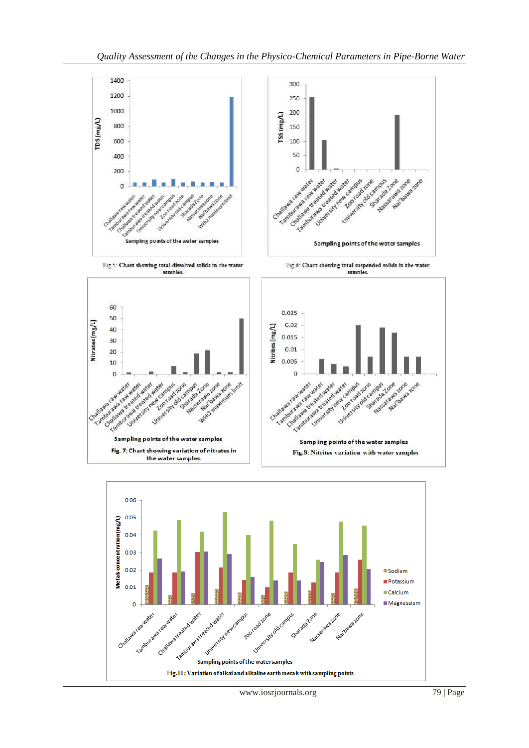

www.iosrjournals.org 79 | Page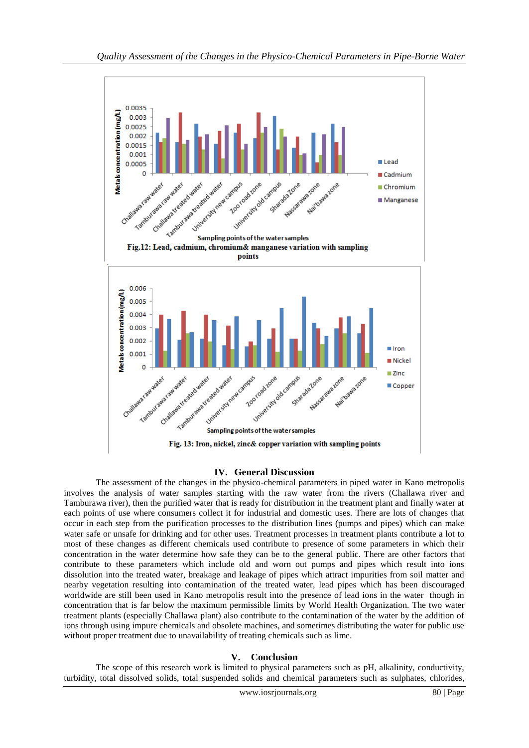

#### **IV. General Discussion**

The assessment of the changes in the physico-chemical parameters in piped water in Kano metropolis involves the analysis of water samples starting with the raw water from the rivers (Challawa river and Tamburawa river), then the purified water that is ready for distribution in the treatment plant and finally water at each points of use where consumers collect it for industrial and domestic uses. There are lots of changes that occur in each step from the purification processes to the distribution lines (pumps and pipes) which can make water safe or unsafe for drinking and for other uses. Treatment processes in treatment plants contribute a lot to most of these changes as different chemicals used contribute to presence of some parameters in which their concentration in the water determine how safe they can be to the general public. There are other factors that contribute to these parameters which include old and worn out pumps and pipes which result into ions dissolution into the treated water, breakage and leakage of pipes which attract impurities from soil matter and nearby vegetation resulting into contamination of the treated water, lead pipes which has been discouraged worldwide are still been used in Kano metropolis result into the presence of lead ions in the water though in concentration that is far below the maximum permissible limits by World Health Organization. The two water treatment plants (especially Challawa plant) also contribute to the contamination of the water by the addition of ions through using impure chemicals and obsolete machines, and sometimes distributing the water for public use without proper treatment due to unavailability of treating chemicals such as lime.

# **V. Conclusion**

The scope of this research work is limited to physical parameters such as pH, alkalinity, conductivity, turbidity, total dissolved solids, total suspended solids and chemical parameters such as sulphates, chlorides,